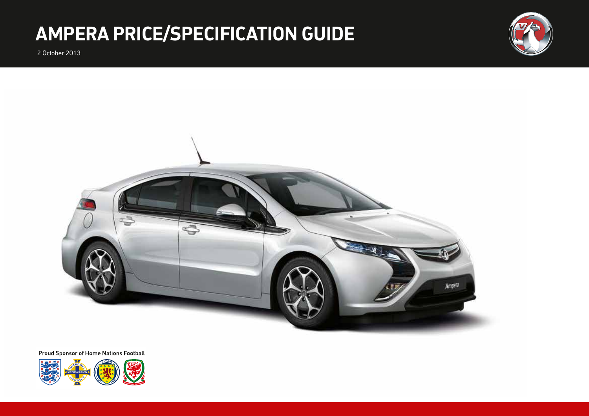# **AMPERA PRICE/SPECIFICATION GUIDE**

2 October 2013





**Proud Sponsor of Home Nations Football** 

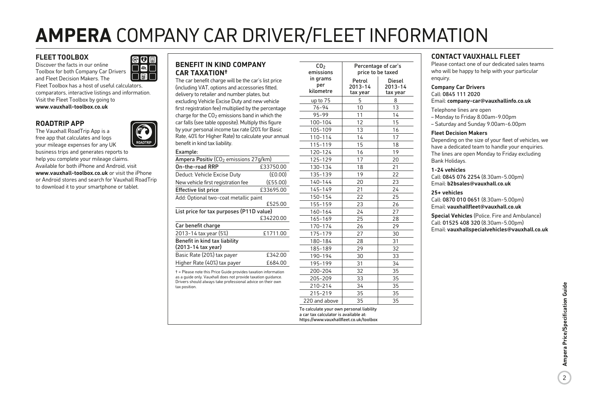# **AMPERA** COMPANY CAR DRIVER/FLEET INFORMATION

## **FLEET TOOLBOX**

Discover the facts in our online Toolbox for both Company Car Drivers and Fleet Decision Makers. The

Fleet Toolbox has a host of useful calculators, comparators, interactive listings and information. Visit the Fleet Toolbox by going to **www.vauxhall-toolbox.co.uk**

 $e$ o $f$  $\overline{\phantom{a}}$  of  $\overline{\phantom{a}}$  $\overline{a}$ 

## **ROADTRIP APP**

The Vauxhall RoadTrip App is a free app that calculates and logs your mileage expenses for any UK



# **BENEFIT IN KIND COMPANY CAR TAXATION†**

The car benefit charge will be the car's list price (including VAT, options and accessories fitted, delivery to retailer and number plates, but excluding Vehicle Excise Duty and new vehicle first registration fee) multiplied by the percentage charge for the  $CO<sub>2</sub>$  emissions band in which the car falls (see table opposite). Multiply this figure by your personal income tax rate (20% for Basic Rate, 40% for Higher Rate) to calculate your annual benefit in kind tax liability.

| Ampera Positiv (CO <sub>2</sub> emissions 27q/km)   |           |
|-----------------------------------------------------|-----------|
| On-the-road RRP                                     | £33750.00 |
| Deduct: Vehicle Excise Duty                         | (£0.00)   |
| New vehicle first registration fee                  | (E55.00)  |
| <b>Effective list price</b>                         | £33695.00 |
| Add: Optional two-coat metallic paint               |           |
|                                                     | £525.00   |
| List price for tax purposes (P11D value)            |           |
|                                                     | £34220.00 |
| Car benefit charge                                  |           |
| 2013-14 tax year (5%)                               | £1711.00  |
| Benefit in kind tax liability<br>(2013-14 tax year) |           |
| Basic Rate (20%) tax payer                          | £342.00   |
| Higher Rate (40%) tax payer                         | £684.00   |

as a guide only. Vauxhall does not provide taxation guidance. Drivers should always take professional advice on their own tax position.

| CO <sub>2</sub><br>emissions | Percentage of car's<br>price to be taxed |                                      |  |  |  |  |
|------------------------------|------------------------------------------|--------------------------------------|--|--|--|--|
| in grams<br>per<br>kilometre | Petrol<br>2013-14<br>tax year            | <b>Diesel</b><br>2013-14<br>tax year |  |  |  |  |
| up to 75                     | 5                                        | 8                                    |  |  |  |  |
| $76 - 94$                    | 10                                       | 13                                   |  |  |  |  |
| 95-99                        | 11                                       | 14                                   |  |  |  |  |
| 100-104                      | 12                                       | 15                                   |  |  |  |  |
| 105-109                      | 13                                       | 16                                   |  |  |  |  |
| 110-114                      | 14                                       | 17                                   |  |  |  |  |
| 115-119                      | 15                                       | 18                                   |  |  |  |  |
| 120-124                      | 16                                       | 19                                   |  |  |  |  |
| 125-129                      | 17                                       | 20                                   |  |  |  |  |
| 130-134                      | 18                                       | 21                                   |  |  |  |  |
| 135-139                      | 19                                       | 22                                   |  |  |  |  |
| $140 - 144$                  | 20                                       | 23                                   |  |  |  |  |
| 145-149                      | 21                                       | 24                                   |  |  |  |  |
| 150-154                      | 22                                       | 25                                   |  |  |  |  |
| 155-159                      | 23                                       | 26                                   |  |  |  |  |
| 160-164                      | 24                                       | 27                                   |  |  |  |  |
| 165-169                      | 25                                       | 28                                   |  |  |  |  |
| 170-174                      | 26                                       | 29                                   |  |  |  |  |
| 175-179                      | 27                                       | 30                                   |  |  |  |  |
| 180-184                      | 28                                       | 31                                   |  |  |  |  |
| 185-189                      | 29                                       | 32                                   |  |  |  |  |
| 190-194                      | 30                                       | 33                                   |  |  |  |  |
| 195-199                      | 31                                       | 34                                   |  |  |  |  |
| 200-204                      | 32                                       | 35                                   |  |  |  |  |
| 205-209                      | 33                                       | 35                                   |  |  |  |  |
| 210-214                      | 34                                       | 35                                   |  |  |  |  |
| 215-219                      | 35                                       | 35                                   |  |  |  |  |
| 220 and above                | 35                                       | 35                                   |  |  |  |  |

https://www.vauxhallfleet.co.uk/toolbox

**CONTACT VAUXHALL FLEET**

Please contact one of our dedicated sales teams who will be happy to help with your particular enquiry.

**Company Car Drivers** Call: 0845 111 2020

Email: **company-car@vauxhallinfo.co.uk**

Telephone lines are open

– Monday to Friday 8.00am-9.00pm

– Saturday and Sunday 9.00am-6.00pm

#### **Fleet Decision Makers**

Depending on the size of your fleet of vehicles, we have a dedicated team to handle your enquiries. The lines are open Monday to Friday excluding Bank Holidays.

#### **1-24 vehicles**

Call: 0845 076 2254 (8.30am-5.00pm) Email: **b2bsales@vauxhall.co.uk**

#### **25+ vehicles**

Call: 0870 010 0651 (8.30am-5.00pm) Email: **vauxhallfleet@vauxhall.co.uk**

**Special Vehicles** (Police, Fire and Ambulance) Call: 01525 408 320 (8.30am-5.00pm) Email: **vauxhallspecialvehicles@vauxhall.co.uk**

> Ampera Price/Specification Guide 2**Ampera Price/Specification Guide**

 $2^{\circ}$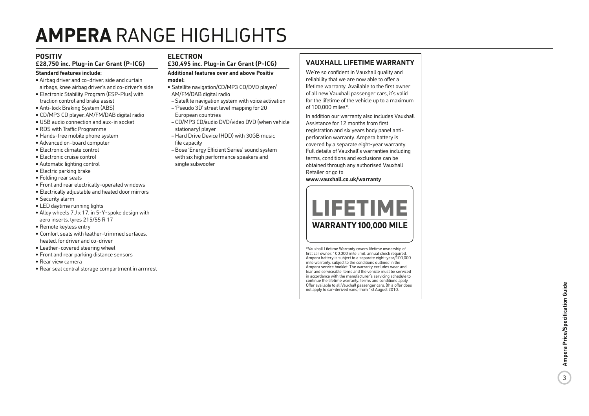# **AMPERA** RANGE HIGHLIGHTS

# **POSITIV**

## **£28,750 inc. Plug-in Car Grant (P-ICG)**

#### **Standard features include:**

- Airbag driver and co-driver, side and curtain airbags, knee airbag driver's and co-driver's side
- Electronic Stability Program (ESP-Plus) with traction control and brake assist
- Anti-lock Braking System (ABS)
- CD/MP3 CD player, AM/FM/DAB digital radio
- USB audio connection and aux-in socket
- RDS with Traffic Programme
- Hands-free mobile phone system
- Advanced on-board computer
- Electronic climate control
- Electronic cruise control
- Automatic lighting control
- Electric parking brake
- Folding rear seats
- Front and rear electrically-operated windows
- Electrically adjustable and heated door mirrors
- Security alarm
- LED daytime running lights
- Alloy wheels 7 J x 17, in 5-Y-spoke design with aero inserts, tyres 215/55 R 17
- Remote keyless entry
- Comfort seats with leather-trimmed surfaces, heated, for driver and co-driver
- Leather-covered steering wheel
- Front and rear parking distance sensors
- Rear view camera
- Rear seat central storage compartment in armrest

# **ELECTRON**

**£30,495 inc. Plug-in Car Grant (P-ICG)**

#### **Additional features over and above Positiv model:**

- Satellite navigation/CD/MP3 CD/DVD player/ AM/FM/DAB digital radio
- Satellite navigation system with voice activation
- 'Pseudo 3D' street level mapping for 20
- European countries
- CD/MP3 CD/audio DVD/video DVD (when vehicle stationary) player – Hard Drive Device (HDD) with 30GB music
- file capacity
- Bose 'Energy Efficient Series' sound system with six high performance speakers and single subwoofer

## **VAUXHALL LIFETIME WARRANTY**

We're so confident in Vauxhall quality and reliability that we are now able to offer a lifetime warranty. Available to the first owner of all new Vauxhall passenger cars, it's valid for the lifetime of the vehicle up to a maximum of 100,000 miles\*.

In addition our warranty also includes Vauxhall Assistance for 12 months from first registration and six years body panel antiperforation warranty. Ampera battery is covered by a separate eight-year warranty. Full details of Vauxhall's warranties including terms, conditions and exclusions can be obtained through any authorised Vauxhall Retailer or go to

**www.vauxhall.co.uk/warranty**



\*Vauxhall Lifetime Warranty covers lifetime ownership of first car owner, 100,000 mile limit, annual check required. Ampera battery is subject to a separate eight-year/100,000 mile warranty, subject to the conditions outlined in the Ampera service booklet. The warranty excludes wear and tear and serviceable items and the vehicle must be serviced in accordance with the manufacturer's servicing schedule to continue the lifetime warranty. Terms and conditions apply. Offer available to all Vauxhall passenger cars, (this offer does not apply to car-derived vans) from 1st August 2010.

 $\overline{3}$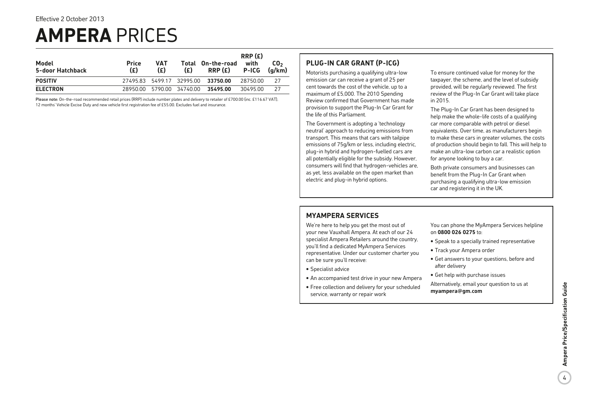# **AMPERA** PRICES

| Model<br>5-door Hatchback | <b>Price</b><br>(E)       | <b>VAT</b><br>(E) | (£) | Total On-the-road<br>RRP(E) | RRP(E)<br>with<br><b>P-ICG</b> | CO <sub>2</sub><br>(a/km) |
|---------------------------|---------------------------|-------------------|-----|-----------------------------|--------------------------------|---------------------------|
| <b>POSITIV</b>            | 27495.83 5499.17 32995.00 |                   |     | 33750.00                    | 28750.00                       | 27                        |
| <b>ELECTRON</b>           | 28950.00                  | 5790.00 34740.00  |     | 35495.00                    | 30495.00                       | 27                        |

Please note: On-the-road recommended retail prices (RRP) include number plates and delivery to retailer of £700.00 (inc. £116.67 VAT), 12 months' Vehicle Excise Duty and new vehicle first registration fee of £55.00. Excludes fuel and insurance.

## **PLUG-IN CAR GRANT (P-ICG)**

Motorists purchasing a qualifying ultra-low emission car can receive a grant of 25 per cent towards the cost of the vehicle, up to a maximum of £5,000. The 2010 Spending Review confirmed that Government has made provision to support the Plug-In Car Grant for the life of this Parliament.

The Government is adopting a 'technology neutral' approach to reducing emissions from transport. This means that cars with tailpipe emissions of 75g/km or less, including electric, plug-in hybrid and hydrogen-fuelled cars are all potentially eligible for the subsidy. However, consumers will find that hydrogen-vehicles are, as yet, less available on the open market than electric and plug-in hybrid options.

To ensure continued value for money for the taxpayer, the scheme, and the level of subsidy provided, will be regularly reviewed. The first review of the Plug-In Car Grant will take place in 2015.

The Plug-In Car Grant has been designed to help make the whole-life costs of a qualifying car more comparable with petrol or diesel equivalents. Over time, as manufacturers begin to make these cars in greater volumes, the costs of production should begin to fall. This will help to make an ultra-low carbon car a realistic option for anyone looking to buy a car.

Both private consumers and businesses can benefit from the Plug-In Car Grant when purchasing a qualifying ultra-low emission car and registering it in the UK.

## **MYAMPERA SERVICES**

We're here to help you get the most out of your new Vauxhall Ampera. At each of our 24 specialist Ampera Retailers around the country, you'll find a dedicated MyAmpera Services representative. Under our customer charter you can be sure you'll receive:

- Specialist advice
- An accompanied test drive in your new Ampera
- Free collection and delivery for your scheduled service, warranty or repair work

You can phone the MyAmpera Services helpline on **0800 026 0275** to:

- Speak to a specially trained representative
- Track your Ampera order
- Get answers to your questions, before and after delivery
- Get help with purchase issues

Alternatively, email your question to us at **myampera@gm.com**

 $\overline{4}$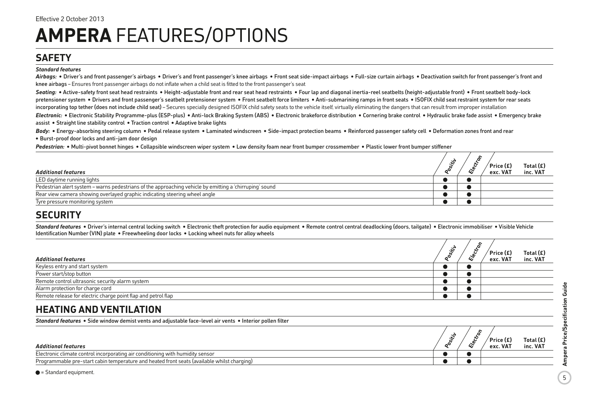# **SAFETY**

#### *Standard features*

Airbags: • Driver's and front passenger's airbags • Driver's and front passenger's knee airbags • Front seat side-impact airbags • Full-size curtain airbags • Deactivation switch for front passenger's front and knee airbags – Ensures front passenger airbags do not inflate when a child seat is fitted to the front passenger's seat

Seating: • Active-safety front seat head restraints • Height-adjustable front and rear seat head restraints • Four lap and diagonal inertia-reel seatbelts (height-adjustable front) • Front seatbelt body-lock pretensioner system • Drivers and front passenger's seatbelt pretensioner system • Front seatbelt force limiters • Anti-submarining ramps in front seats • ISOFIX child seat restraint system for rear seats incorporating top tether (does not include child seat) – Secures specially designed ISOFIX child safety seats to the vehicle itself, virtually eliminating the dangers that can result from improper installation

*Electronic:* • Electronic Stability Programme-plus (ESP-plus) • Anti-lock Braking System (ABS) • Electronic brakeforce distribution • Cornering brake control • Hydraulic brake fade assist • Emergency brake assist • Straight line stability control • Traction control • Adaptive brake lights

**Body:** • Energy-absorbing steering column • Pedal release system • Laminated windscreen • Side-impact protection beams • Reinforced passenger safety cell • Deformation zones front and rear • Burst-proof door locks and anti-jam door design

*Pedestrian:* • Multi-pivot bonnet hinges • Collapsible windscreen wiper system • Low density foam near front bumper crossmember • Plastic lower front bumper stiffener

| <b>Additional features</b>                                                                              | ົ | i. | $\sim$<br>Price (£)<br>exc. VAT | Total (£)<br>inc. VAT |
|---------------------------------------------------------------------------------------------------------|---|----|---------------------------------|-----------------------|
| LED daytime running lights                                                                              |   |    |                                 |                       |
| Pedestrian alert system – warns pedestrians of the approaching vehicle by emitting a 'chirruping' sound |   |    |                                 |                       |
| Rear view camera showing overlayed graphic indicating steering wheel angle                              |   |    |                                 |                       |
| Tyre pressure monitoring system                                                                         |   |    |                                 |                       |

# **SECURITY**

Standard features • Driver's internal central locking switch • Electronic theft protection for audio equipment • Remote control central deadlocking (doors, tailgate) • Electronic immobiliser • Visible Vehicle Identification Number (VIN) plate • Freewheeling door locks • Locking wheel nuts for alloy wheels

| <b>Additional features</b>                                    |  | . . | ù, | $'$ Price (£)<br>exc. VAT | Total $(E)$<br>inc. VAT |
|---------------------------------------------------------------|--|-----|----|---------------------------|-------------------------|
| Keyless entry and start system                                |  |     |    |                           |                         |
| Power start/stop button                                       |  |     |    |                           |                         |
| Remote control ultrasonic security alarm system               |  |     |    |                           |                         |
| Alarm protection for charge cord                              |  |     |    |                           |                         |
| Remote release for electric charge point flap and petrol flap |  |     |    |                           |                         |

# **HEATING AND VENTILATION**

*Standard features* • Side window demist vents and adjustable face-level air vents • Interior pollen filter

| <b>Additional features</b>                                                                  |  | $'$ Price (£)<br>exc. VAT | Total $(E)$<br>inc. VAT |
|---------------------------------------------------------------------------------------------|--|---------------------------|-------------------------|
| Electronic climate control incorporating air conditioning with humidity sensor              |  |                           |                         |
| Programmable pre-start cabin temperature and heated front seats (available whilst charging) |  |                           |                         |

 $\bullet$  = Standard equipment.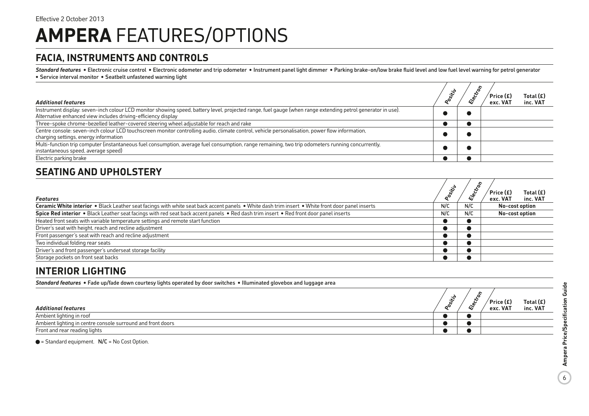# **FACIA, INSTRUMENTS AND CONTROLS**

Standard features • Electronic cruise control • Electronic odometer and trip odometer • Instrument panel light dimmer • Parking brake-on/low brake fluid level and low fuel level warning for petrol generator • Service interval monitor • Seatbelt unfastened warning light

| <b>Additional features</b>                                                                                                                                                               | is. | ŝ. | ์ Price (£)<br>exc. VAT | Total $(E)$<br>inc. VAT |
|------------------------------------------------------------------------------------------------------------------------------------------------------------------------------------------|-----|----|-------------------------|-------------------------|
| Instrument display: seven-inch colour LCD monitor showing speed, battery level, projected range, fuel gauge (when range extending petrol generator in use).                              |     |    |                         |                         |
| Alternative enhanced view includes driving-efficiency display                                                                                                                            |     |    |                         |                         |
| Three-spoke chrome-bezelled leather-covered steering wheel adjustable for reach and rake                                                                                                 |     |    |                         |                         |
| Centre console: seven-inch colour LCD touchscreen monitor controlling audio, climate control, vehicle personalisation, power flow information,<br>charging settings, energy information  |     |    |                         |                         |
| Multi-function trip computer (instantaneous fuel consumption, average fuel consumption, range remaining, two trip odometers running concurrently,<br>instantaneous speed, average speed) |     |    |                         |                         |
| Electric parking brake                                                                                                                                                                   |     |    |                         |                         |

# **SEATING AND UPHOLSTERY**

| <b>Features</b>                                                                                                                                  | oositiv | S,<br><b>Elect</b> | Total $(E)$<br>Price (£)<br>exc. VAT<br>inc. VAT |
|--------------------------------------------------------------------------------------------------------------------------------------------------|---------|--------------------|--------------------------------------------------|
| Ceramic White interior . Black Leather seat facings with white seat back accent panels . White dash trim insert . White front door panel inserts | N/C     | N/C                | No-cost option                                   |
| Spice Red interior . Black Leather seat facings with red seat back accent panels . Red dash trim insert . Red front door panel inserts           | N/C     | N/C                | No-cost option                                   |
| Heated front seats with variable temperature settings and remote start function                                                                  |         |                    |                                                  |
| Driver's seat with height, reach and recline adjustment                                                                                          |         |                    |                                                  |
| Front passenger's seat with reach and recline adjustment                                                                                         |         |                    |                                                  |
| Two individual folding rear seats                                                                                                                |         |                    |                                                  |
| Driver's and front passenger's underseat storage facility                                                                                        |         |                    |                                                  |
| Storage pockets on front seat backs                                                                                                              |         |                    |                                                  |

# **INTERIOR LIGHTING**

| Standard features • Fade up/fade down courtesy lights operated by door switches • Illuminated glovebox and luggage area |  |  |                           |                       |
|-------------------------------------------------------------------------------------------------------------------------|--|--|---------------------------|-----------------------|
| <b>Additional features</b>                                                                                              |  |  | $'$ Price (£)<br>exc. VAT | Total (£)<br>inc. VAT |
| Ambient lighting in roof                                                                                                |  |  |                           |                       |
| Ambient lighting in centre console surround and front doors                                                             |  |  |                           |                       |
| Front and rear reading lights                                                                                           |  |  |                           |                       |

 $\bullet$  = Standard equipment.  $N/C = No$  Cost Option.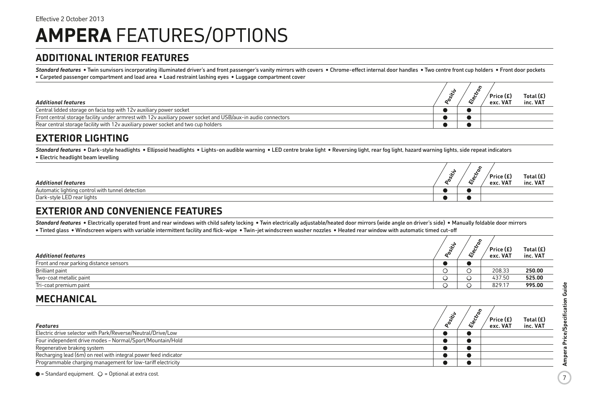# **ADDITIONAL INTERIOR FEATURES**

Standard features • Twin sunvisors incorporating illuminated driver's and front passenger's vanity mirrors with covers • Chrome-effect internal door handles • Two centre front cup holders • Front door pockets • Carpeted passenger compartment and load area • Load restraint lashing eyes • Luggage compartment cover

| <b>Additional features</b>                                                                                   |  | $'$ Price (£)<br>exc. VAT | Total $(E)$<br>inc. VAT |
|--------------------------------------------------------------------------------------------------------------|--|---------------------------|-------------------------|
| Central lidded storage on facia top with 12y auxiliary power socket                                          |  |                           |                         |
| Front central storage facility under armrest with 12v auxiliary power socket and USB/aux-in audio connectors |  |                           |                         |
| Rear central storage facility with 12y auxiliary power socket and two cup holders                            |  |                           |                         |

# **EXTERIOR LIGHTING**

Standard features • Dark-style headlights • Ellipsoid headlights • Lights-on audible warning • LED centre brake light • Reversing light, rear fog light, hazard warning lights, side repeat indicators • Electric headlight beam levelling

| <b>Additional features</b>                       | ∼ | m | $'$ Price (£)<br>exc. VAT | Total $(E)$<br>inc. VAT |
|--------------------------------------------------|---|---|---------------------------|-------------------------|
| Automatic lighting control with tunnel detection |   |   |                           |                         |
| Dark-style LED rear lights                       |   |   |                           |                         |

# **EXTERIOR AND CONVENIENCE FEATURES**

Standard features • Electrically operated front and rear windows with child safety locking • Twin electrically adjustable/heated door mirrors (wide angle on driver's side) • Manually foldable door mirrors • Tinted glass • Windscreen wipers with variable intermittent facility and flick-wipe • Twin-jet windscreen washer nozzles • Heated rear window with automatic timed cut-off

| <b>Additional features</b>              | . с<br>5 | $\sim$<br>ىپى | $'$ Price (£)<br>exc. VAT | Total $(E)$<br>inc. VAT |
|-----------------------------------------|----------|---------------|---------------------------|-------------------------|
| Front and rear parking distance sensors |          |               |                           |                         |
| Brilliant paint                         |          |               | 208.33                    | 250.00                  |
| Two-coat metallic paint                 |          |               | 437.50                    | 525.00                  |
| Tri-coat premium paint                  |          |               | 829.17                    | 995.00                  |

# **MECHANICAL**

| Features                                                        | .∾ | $'$ Price (£)<br>exc. VAT | Total $(E)$<br>inc. VAT |
|-----------------------------------------------------------------|----|---------------------------|-------------------------|
| Electric drive selector with Park/Reverse/Neutral/Drive/Low     |    |                           |                         |
| Four independent drive modes - Normal/Sport/Mountain/Hold       |    |                           |                         |
| Regenerative braking system                                     |    |                           |                         |
| Recharging lead (6m) on reel with integral power feed indicator |    |                           |                         |
| Programmable charging management for low-tariff electricity     |    |                           |                         |

 $\bullet$  = Standard equipment.  $\circ$  = Optional at extra cost.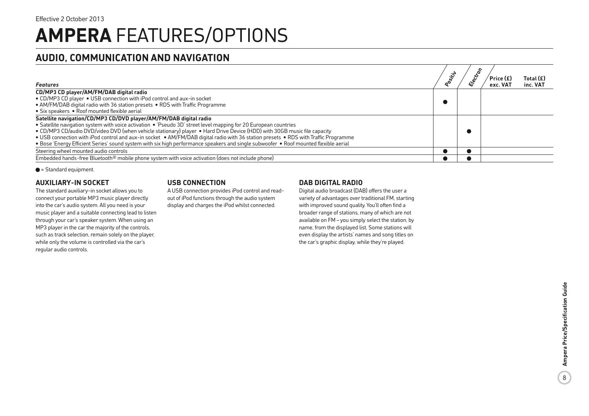# **AUDIO, COMMUNICATION AND NAVIGATION**

| Features                                                                                                                             | sitiv | $\mathcal{S}_{\alpha}$ | ′ Price (£)<br>exc. VAT | Total $(E)$<br>inc. VAT |
|--------------------------------------------------------------------------------------------------------------------------------------|-------|------------------------|-------------------------|-------------------------|
| CD/MP3 CD player/AM/FM/DAB digital radio                                                                                             |       |                        |                         |                         |
| • CD/MP3 CD player • USB connection with iPod control and aux-in socket                                                              |       |                        |                         |                         |
| • AM/FM/DAB digital radio with 36 station presets • RDS with Traffic Programme                                                       |       |                        |                         |                         |
| • Six speakers • Roof mounted flexible aerial                                                                                        |       |                        |                         |                         |
| Satellite navigation/CD/MP3 CD/DVD player/AM/FM/DAB digital radio                                                                    |       |                        |                         |                         |
| • Satellite navigation system with voice activation • 'Pseudo 3D' street level mapping for 20 European countries                     |       |                        |                         |                         |
| • CD/MP3 CD/audio DVD/video DVD (when vehicle stationary) player • Hard Drive Device (HDD) with 30GB music file capacity             |       |                        |                         |                         |
| • USB connection with iPod control and aux-in socket • AM/FM/DAB digital radio with 36 station presets • RDS with Traffic Programme  |       |                        |                         |                         |
| . Bose 'Energy Efficient Series' sound system with six high performance speakers and single subwoofer . Roof mounted flexible aerial |       |                        |                         |                         |
| Steering wheel mounted audio controls                                                                                                |       |                        |                         |                         |
| Embedded hands-free Bluetooth <sup>®</sup> mobile phone system with voice activation (does not include phone)                        |       |                        |                         |                         |

 $\bullet$  = Standard equipment.

# **AUXILIARY-IN SOCKET**

The standard auxiliary-in socket allows you to connect your portable MP3 music player directly into the car's audio system. All you need is your music player and a suitable connecting lead to listen through your car's speaker system. When using an MP3 player in the car the majority of the controls, such as track selection, remain solely on the player, while only the volume is controlled via the car's regular audio controls.

## **USB CONNECTION**

A USB connection provides iPod control and readout of iPod functions through the audio system display and charges the iPod whilst connected.

# **DAB DIGITAL RADIO**

Digital audio broadcast (DAB) offers the user a variety of advantages over traditional FM, starting with improved sound quality. You'll often find a broader range of stations, many of which are not available on FM – you simply select the station, by name, from the displayed list. Some stations will even display the artists' names and song titles on the car's graphic display, while they're played.

 $\overline{8}$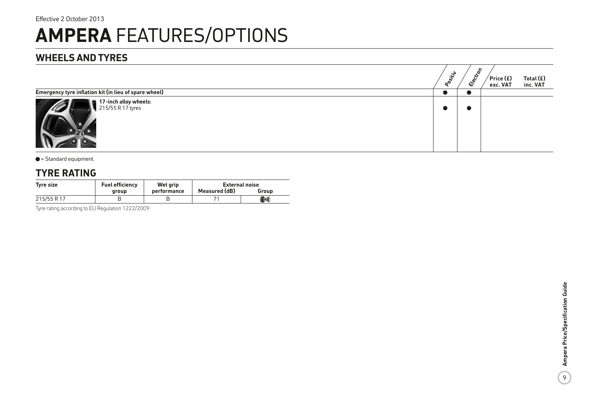# **WHEELS AND TYRES**

|                                                       | <b>Positiv</b> | δ,<br><b>Elect</b> | $\sqrt{\mathsf{Price}}(\mathsf{E})$<br>exc. VAT | Total $(E)$<br>inc. VAT |
|-------------------------------------------------------|----------------|--------------------|-------------------------------------------------|-------------------------|
| Emergency tyre inflation kit (in lieu of spare wheel) |                |                    |                                                 |                         |
| 17-inch alloy wheels:<br>215/55 R 17 tyres            |                | - 4                |                                                 |                         |

#### $\bullet$  = Standard equipment.

# **TYRE RATING**

| Tyre size   | <b>Fuel efficiency</b> | Wet grip    | <b>External noise</b> |                                                            |  |
|-------------|------------------------|-------------|-----------------------|------------------------------------------------------------|--|
|             | aroup                  | performance | Measured (dB)         | Group                                                      |  |
| 215/55 R 17 |                        |             |                       | $(\hspace{-1.5pt}(\hspace{-1.5pt}(\cdot))\hspace{-1.5pt})$ |  |

Tyre rating according to EU Regulation 1222/2009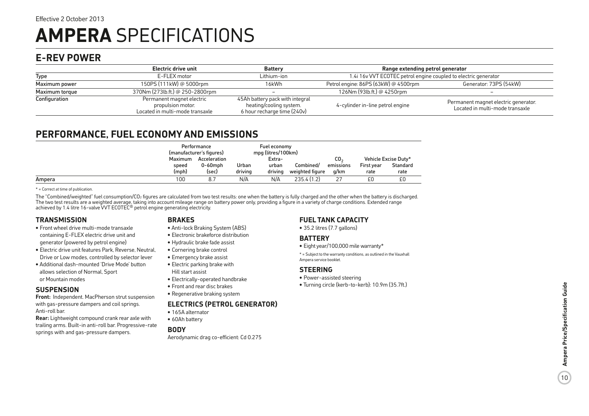# **AMPERA** SPECIFICATIONS

# **E-REV POWER**

|                | Electric drive unit                                                               | <b>Battery</b>                                                                            | Range extending petrol generator                                |                                                                         |  |
|----------------|-----------------------------------------------------------------------------------|-------------------------------------------------------------------------------------------|-----------------------------------------------------------------|-------------------------------------------------------------------------|--|
| Type           | E-FLEX motor                                                                      | Lithium-ion                                                                               | 1.4i 16v VVT ECOTEC petrol engine coupled to electric generator |                                                                         |  |
| Maximum power  | 150PS (111kW) @ 5000rpm                                                           | 16kWh                                                                                     | Petrol engine: 86PS (63kW) @ 4500rpm                            | Generator: 73PS (54kW)                                                  |  |
| Maximum torque | 370Nm (273lb.ft.) @ 250-2800rpm                                                   | $\overline{\phantom{a}}$                                                                  | 126Nm (93lb.ft.) @ 4250rpm                                      |                                                                         |  |
| Configuration  | Permanent magnet electric<br>propulsion motor.<br>Located in multi-mode transaxle | 45Ah battery pack with integral<br>heating/cooling system.<br>6 hour recharge time (240v) | 4-cylinder in-line petrol engine                                | Permanent magnet electric generator.<br>Located in multi-mode transaxle |  |

# **PERFORMANCE, FUEL ECONOMY AND EMISSIONS**

|        |         | Performance<br>(manufacturer's figures) |         | Fuel economy<br>mpg (litres/100km) |                 |           |            |                      |
|--------|---------|-----------------------------------------|---------|------------------------------------|-----------------|-----------|------------|----------------------|
|        | Maximum | Acceleration                            |         | Extra-                             |                 | CO,       |            | Vehicle Excise Duty* |
|        | speed   | $0-60$ mph                              | Urban   | urban                              | Combined/       | emissions | First year | Standard             |
|        | (mph)   | (sec)                                   | drivina | drivina                            | weighted figure | q/km      | rate       | rate                 |
| Ampera | 100     | 8.7                                     | N/A     | N/A                                | 235.4(1.2)      |           | £0         | £0                   |

\* = Correct at time of publication.

The "Combined/weighted" fuel consumption/CO<sub>2</sub> figures are calculated from two test results: one when the battery is fully charged and the other when the battery is discharged. The two test results are a weighted average, taking into account mileage range on battery power only, providing a figure in a variety of charge conditions. Extended range<br>achieved by 1.4 litre 16-valve VVT ECOTEC® petrol e

## **TRANSMISSION**

- Front wheel drive multi-mode transaxle containing E-FLEX electric drive unit and generator (powered by petrol engine)
- Electric drive unit features Park, Reverse, Neutral, Drive or Low modes, controlled by selector lever
- Additional dash-mounted 'Drive Mode' button allows selection of Normal, Sport or Mountain modes

## **SUSPENSION**

**Front:** Independent. MacPherson strut suspension with gas-pressure dampers and coil springs. Anti-roll bar.

**Rear:** Lightweight compound crank rear axle with trailing arms. Built-in anti-roll bar. Progressive-rate springs with and gas-pressure dampers.

# **BRAKES**

- Anti-lock Braking System (ABS)
- Electronic brakeforce distribution
- Hydraulic brake fade assist
- Cornering brake control
- Emergency brake assist • Electric parking brake with

Hill start assist

- Electrically-operated handbrake
- Front and rear disc brakes
- Regenerative braking system

## **ELECTRICS (PETROL GENERATOR)**

- 165A alternator
- 60Ah battery

## **BODY**

Aerodynamic drag co-efficient: Cd 0.275

# **FUEL TANK CAPACITY**

• 35.2 litres (7.7 gallons)

## **BATTERY**

- Eight year/100,000 mile warranty\*
- \* = Subject to the warranty conditions, as outlined in the Vauxhall Ampera service booklet.

## **STEERING**

- Power-assisted steering
- Turning circle (kerb-to-kerb): 10.9m (35.7ft.)

10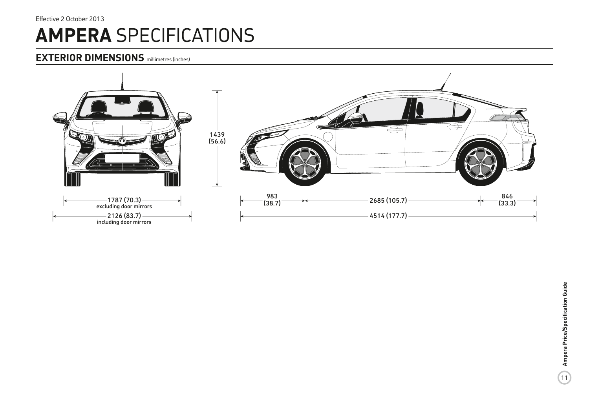# **AMPERA** SPECIFICATIONS Effective 2 October 2013

# **EXTERIOR DIMENSIONS** millimetres (inches)

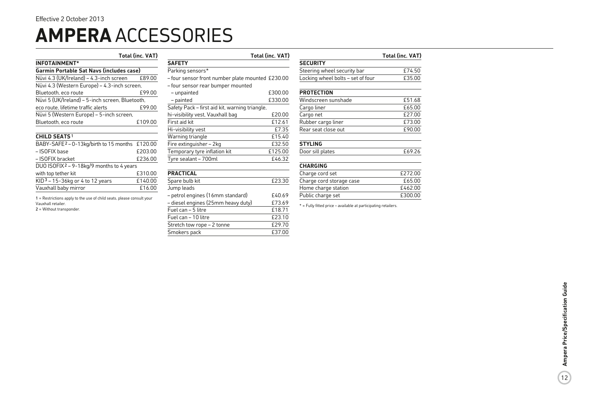# **AMPERA** ACCESSORIES

|                                                                       | <b>Total (inc. VAT)</b>                                  |                                                  | <b>Total (inc. VAT)</b> |  |
|-----------------------------------------------------------------------|----------------------------------------------------------|--------------------------------------------------|-------------------------|--|
| <b>INFOTAINMENT*</b>                                                  |                                                          | <b>SAFETY</b>                                    |                         |  |
| <b>Garmin Portable Sat Navs (includes case)</b>                       |                                                          | Parking sensors*                                 |                         |  |
| Nüvi 4.3 (UK/Ireland) – 4.3-inch screen                               | £89.00                                                   | - four sensor front number plate mounted £230.00 |                         |  |
| Nüvi 4.3 (Western Europe) - 4.3-inch screen,                          |                                                          | - four sensor rear bumper mounted                |                         |  |
| Bluetooth, eco route                                                  | £99.00                                                   | - unpainted                                      | £300.00                 |  |
| Nüvi 5 (UK/Ireland) - 5-inch screen, Bluetooth,                       |                                                          | - painted                                        | £330.00                 |  |
| eco route, lifetime traffic alerts                                    | Safety Pack – first aid kit, warning triangle,<br>£99.00 |                                                  |                         |  |
| Nüvi 5 (Western Europe) - 5-inch screen,                              |                                                          | hi-visibility vest, Vauxhall bag                 | £20.00                  |  |
| Bluetooth, eco route                                                  | £109.00                                                  | First aid kit                                    | £12.61                  |  |
|                                                                       |                                                          | Hi-visibility vest                               | £7.35                   |  |
| <b>CHILD SEATS1</b>                                                   |                                                          | Warning triangle                                 | £15.40                  |  |
| BABY-SAFE <sup>2</sup> - 0-13kg/birth to 15 months £120.00            |                                                          | Fire extinguisher - 2kg                          | £32.50                  |  |
| - ISOFIX base                                                         | £203.00                                                  | Temporary tyre inflation kit                     | £125.00                 |  |
| - ISOFIX bracket                                                      | £236.00                                                  | Tyre sealant - 700ml                             | £46.32                  |  |
| DUO ISOFIX <sup>2</sup> – 9-18kg/9 months to 4 years                  |                                                          |                                                  |                         |  |
| with top tether kit                                                   | £310.00                                                  | <b>PRACTICAL</b>                                 |                         |  |
| $KID3 - 15-36kg$ or 4 to 12 years                                     | £140.00                                                  | Spare bulb kit                                   | £23.30                  |  |
| Vauxhall baby mirror                                                  | £16.00                                                   | Jump leads                                       |                         |  |
| 1 = Restrictions apply to the use of child seats, please consult your |                                                          | - petrol engines (16mm standard)                 | £40.69                  |  |
| Vauxhall retailer.                                                    |                                                          | - diesel engines (25mm heavy duty)               | £73.69                  |  |
| $2$ = Without transponder.                                            |                                                          | Fuel can - 5 litre                               | £18.71                  |  |

| <b>SAFETY</b>                                    |         |
|--------------------------------------------------|---------|
| Parking sensors*                                 |         |
| - four sensor front number plate mounted £230.00 |         |
| - four sensor rear bumper mounted                |         |
| - unpainted                                      | £300.00 |
| - painted                                        | £330.00 |
| Safety Pack - first aid kit, warning triangle,   |         |
| hi-visibility vest, Vauxhall bag                 | £20.00  |
| First aid kit                                    | £12.61  |
| Hi-visibility vest                               | £7.35   |
| Warning triangle                                 | £15.40  |
| Fire extinguisher - 2kg                          | £32.50  |
| Temporary tyre inflation kit                     | £125.00 |
| Tyre sealant - 700ml                             | £46.32  |
|                                                  |         |
| <b>PRACTICAL</b>                                 |         |
| Spare bulb kit                                   | £23.30  |
| Jump leads                                       |         |
| – petrol engines (16mm standard)                 | £40.69  |
| – diesel engines (25mm heavy duty)               | £73.69  |
| Fuel can - 5 litre                               | £18.71  |
| Fuel can - 10 litre                              | £23.10  |
| Stretch tow rope - 2 tonne                       | £29.70  |
| Smokers pack                                     | £37.00  |
|                                                  |         |

|                                   | <b>Total (inc. VAT)</b> |
|-----------------------------------|-------------------------|
| <b>SECURITY</b>                   |                         |
| Steering wheel security bar       | £74.50                  |
| Locking wheel bolts - set of four | £35.00                  |
| <b>PROTECTION</b>                 |                         |
| Windscreen sunshade               | £51.68                  |
| Cargo liner                       | £65.00                  |
| Cargo net                         | £27.00                  |
| Rubber cargo liner                | £73.00                  |
| Rear seat close out               | £90.00                  |
| <b>STYLING</b>                    |                         |
| Door sill plates                  | £69.26                  |
| <b>CHARGING</b>                   |                         |
| Charge cord set                   | £272.00                 |
| Charge cord storage case          | £65.00                  |
| Home charge station               | £462.00                 |
| Public charge set                 | £300.00                 |

\* = Fully fitted price – available at participating retailers.

Public charge set